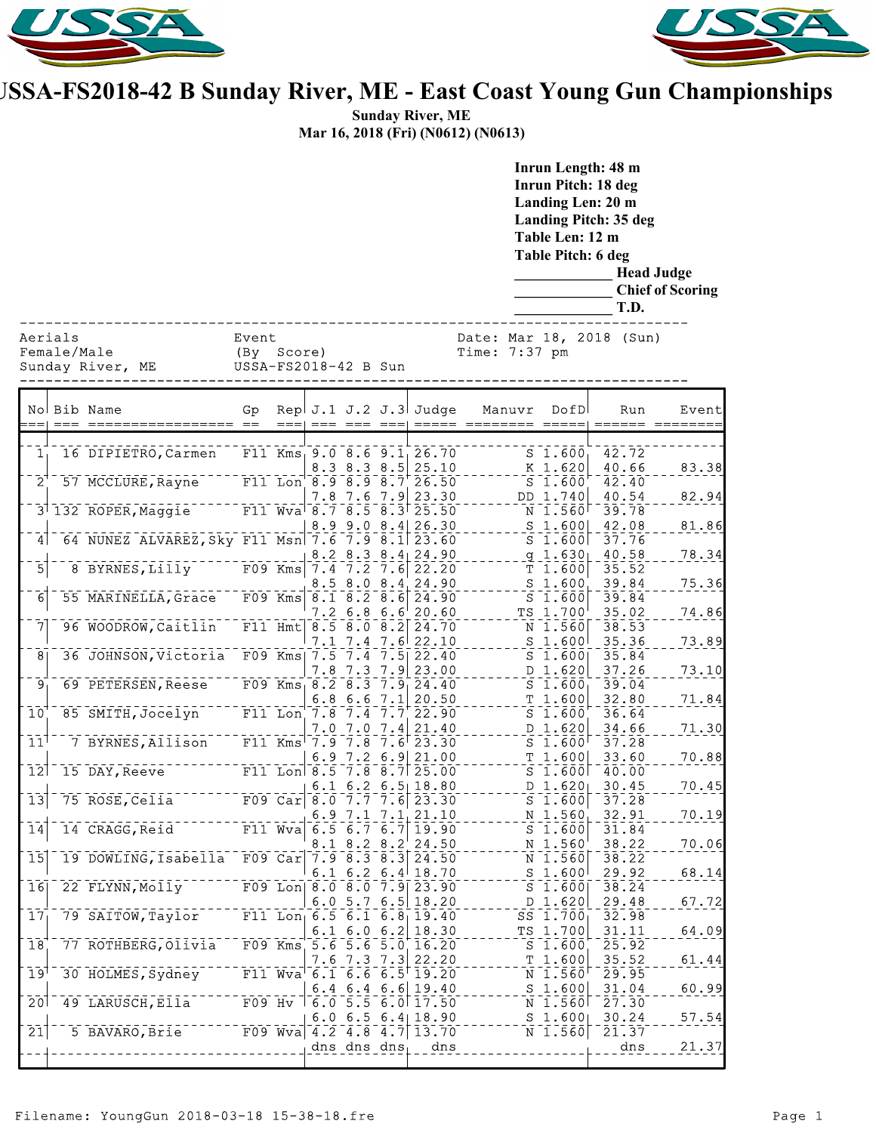



## **USSA-FS2018-42 B Sunday River, ME - East Coast Young Gun Championships**

**Sunday River, ME Mar 16, 2018 (Fri) (N0612) (N0613)**

|                                            |  |                                                                                          |                                             |                 |                   |                                                                                                                        |                                           | Inrun Length: 48 m<br><b>Inrun Pitch: 18 deg</b><br>Landing Len: 20 m<br><b>Landing Pitch: 35 deg</b><br>Table Len: 12 m<br>Table Pitch: 6 deg<br><b>Head Judge</b><br><b>Chief of Scoring</b><br>T.D. |                         |                |
|--------------------------------------------|--|------------------------------------------------------------------------------------------|---------------------------------------------|-----------------|-------------------|------------------------------------------------------------------------------------------------------------------------|-------------------------------------------|--------------------------------------------------------------------------------------------------------------------------------------------------------------------------------------------------------|-------------------------|----------------|
| Aerials<br>Female/Male<br>Sunday River, ME |  |                                                                                          | Event<br>(By Score)<br>USSA-FS2018-42 B Sun |                 |                   |                                                                                                                        | Date: Mar 18, 2018 (Sun)<br>Time: 7:37 pm |                                                                                                                                                                                                        |                         |                |
|                                            |  | No Bib Name                                                                              | Gp                                          | $=$ $=$ $=$ $+$ |                   | Rep $J.1 J.2 J.3$ Judge<br>== ===  =====                                                                               | Manuvr<br>_____<br>$==$                   | DofD                                                                                                                                                                                                   | Run                     | Event          |
| 1 <sub>1</sub>                             |  | 16 DIPIETRO, Carmen                                                                      |                                             |                 |                   | F11 $Kms_19.08.69.126.70$<br>$8.3$ $8.3$ $8.5$ 25.10                                                                   |                                           | $S$ 1.600<br>K 1.620                                                                                                                                                                                   | 42.72<br>40.66          | 83.38          |
| $\mathbf{\bar{2}}^{\dagger}$               |  | 57 MCCLURE, Rayne<br>3 132 ROPER, Maggie F11 Wva 8.7 8.5 8.3 25.50                       |                                             |                 |                   | F11 Lon $8.9 8.9 8.7 26.50$<br>$7.8$ 7.6 7.9 23.30                                                                     |                                           | $S^-1.\bar{6}\bar{0}\bar{0}$<br>DD 1.740<br>N 1.560                                                                                                                                                    | 42.40<br>40.54<br>39.78 | 82.94          |
| 4 <sup>1</sup>                             |  | 64 NUNEZ ALVAREZ, Sky F11 Msn 7.6 7.9 8.1 23.60                                          |                                             |                 |                   | $8.9$ 9.0 $8.4$ 26.30                                                                                                  |                                           | $S$ 1.600<br>$S_1.600$                                                                                                                                                                                 | 42.08<br>37.76          | 81.86          |
| $\overline{5}$                             |  | 8 BYRNES, Lilly F09 Kms 7.4 7.2 7.6 22.20                                                |                                             |                 |                   | $8.2$ $8.3$ $8.4$ 24.90<br>$8.5$ $8.0$ $8.4$ 24.90                                                                     |                                           | $9 - 1.630$<br>T 1.600<br>$S_1.600$                                                                                                                                                                    | 40.58<br>35.52<br>39.84 | 78.34<br>75.36 |
| 6                                          |  | 55 MARINELLA, Grace                                                                      |                                             |                 |                   | F09 Kms $8.1 - 8.2 - 8.6$ 24.90<br>$7.2$ 6.8 6.6 20.60                                                                 |                                           | $S_1.600$<br>TS 1.700                                                                                                                                                                                  | 39.84<br>35.02          | 74.86          |
| 7<br>$\overline{8}$                        |  | 96 WOODROW, Caitlin<br>36 JOHNSON, Victoria                                              |                                             | $F11$ Hmt       |                   | $\sqrt{8.5}$ $\sqrt{8.0}$ $\sqrt{8.2}$ $\sqrt{24.70}$<br>$7.1$ $7.4$ $7.6$ 22.10<br>F09 Kms  $7.5 - 7.4 - 7.5$   22.40 |                                           | N 1.560<br>$S$ 1.600<br>$S$ 1.600                                                                                                                                                                      | 38.53<br>35.36<br>35.84 | 73.89          |
| Τ9,                                        |  | 69 PETERSEN, Reese                                                                       |                                             |                 |                   | $7.8$ $7.3$ $7.9$ 23.00<br>F09 $Kms_18.28.37.924.40$                                                                   |                                           | D 1.620<br>$S_1.600$                                                                                                                                                                                   | 37.26<br>39.04          | 73.10          |
| $\overline{10}$                            |  | 85 SMITH, Jocelyn                                                                        |                                             |                 | $6.8$ 6.6 7.1     | 20.50<br>F11 Lon $7.8 - 7.4 - 7.7 + 22.90$<br>$7.0$ $7.0$ $7.4$ 21.40                                                  |                                           | T 1.600<br>$S_1.600$<br>D 1.620                                                                                                                                                                        | 32.80<br>36.64<br>34.66 | 71.84<br>71.30 |
| 11 <sup>1</sup><br>12                      |  | 7 BYRNES, Allison<br>15 DAY, Reeve                                                       |                                             |                 |                   | F11 Kms <sup><math>7.97.87.6723.30</math></sup><br>6.9 7.2 6.9 21.00<br>F11 Lon $8.5 - 7.8 - 8.7$ 25.00                |                                           | $S$ 1.600<br>T 1.600<br>$5 - 1.600$                                                                                                                                                                    | 37.28<br>33.60          | 70.88          |
| $\overline{1}\overline{3}$                 |  | $75$ $ROSE, Ce1i$ a                                                                      |                                             |                 |                   | $6.1$ 6.2 6.5 18.80<br>F09 Car $\bar{8.0}$ $\bar{7.7}$ $\bar{7.8}$ $\bar{6}$ $\bar{23.30}$                             |                                           | $D \ 1.620$<br>ีร์ ī.̃6oo                                                                                                                                                                              | 40.00<br>30.45<br>37.28 | 70.45          |
| $\overline{14}$                            |  | $14$ CRAGG, Reid <sup>---</sup>                                                          |                                             |                 | $8.1$ $8.2$ $8.2$ | 6.9 7.1 7.1 $21.10$<br>F11 Wva 6.5 6.7 6.7 19.90<br>24.50                                                              |                                           | N 1.560<br>$S_1.600$<br>$N$ 1.560                                                                                                                                                                      | 32.91<br>31.84<br>38.22 | 70.19<br>70.06 |
| $\overline{15}$                            |  | 19 DOWLING, Isabella F09 Car 7.9 8.3 8.3 24.50                                           |                                             |                 |                   | 6.1 6.2 6.4 18.70                                                                                                      |                                           | $N$ 1.560<br>$S$ 1.600                                                                                                                                                                                 | 38.22<br>29.92          | 68.14          |
| 16<br>$\overline{17}$                      |  | 22 FLYNN, Molly F09 Lon 8.0 8.0 7.9 23.90<br>79 SAITOW, Taylor F11 Lon 6.5 6.1 6.8 19.40 |                                             |                 |                   | $6.0$ 5.7 $6.5$ 18.20                                                                                                  |                                           | $S$ 1.600<br>D 1.620<br>$SS$ 1.700                                                                                                                                                                     | 38.24<br>29.48<br>32.98 | 67.72          |
| $\overline{18}$                            |  | 77 ROTHBERG, Olivia F09 Kms 5.6 5.6 5.0 16.20                                            |                                             |                 |                   | 6.1 6.0 6.2 18.30                                                                                                      |                                           | TS 1.700<br>$S_1.600$                                                                                                                                                                                  | 31.11<br>25.92          | 64.09          |
| $19^{\top}$                                |  | 30 HOLMES, Sydney F11 Wva 6.1 6.6 6.5 19.20                                              |                                             |                 |                   | $7.6$ $7.3$ $7.3$ 22.20<br>$6.4$ 6.4 6.6 19.40                                                                         |                                           | T 1.600<br>$N$ 1.560<br>$S$ 1.600                                                                                                                                                                      | 35.52<br>29.95<br>31.04 | 61.44<br>60.99 |
| $\overline{20}$                            |  | 49 LARUSCH, Ella FO9 Hv 6.0 5.5 6.0 17.50                                                |                                             |                 |                   | 6.0 6.5 6.4 18.90                                                                                                      |                                           | N 1.560<br>$S$ 1.600                                                                                                                                                                                   | 27.30<br>30.24          | 57.54          |
| $\overline{21}$                            |  | 5 BAVARO, Brie<br>_ _ _ _ _ _ _ _ _ _ _ _ _ _                                            |                                             |                 | dns dns dns $_1$  | F09 Wva $4.2$ 4.8 4.7 13.70<br>dns                                                                                     |                                           | $N$ 1.560                                                                                                                                                                                              | 21.37<br>dns            | 21.37          |